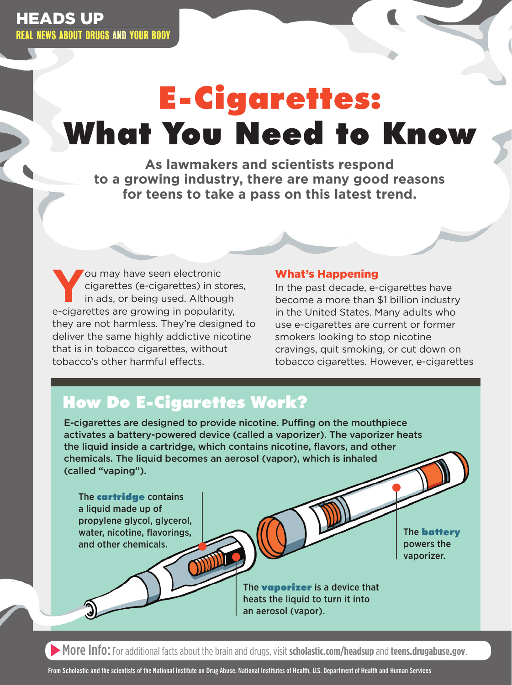# E-Cigarettes: What You Need to Know

**As lawmakers and scientists respond to a growing industry, there are many good reasons for teens to take a pass on this latest trend.**

You may have seen electronic<br>cigarettes (e-cigarettes) in st<br>in ads, or being used. Althoughcigarettes (e-cigarettes) in stores, in ads, or being used. Although e-cigarettes are growing in popularity, they are not harmless. They're designed to deliver the same highly addictive nicotine that is in tobacco cigarettes, without tobacco's other harmful effects.

#### What's Happening

In the past decade, e-cigarettes have become a more than \$1 billion industry in the United States. Many adults who use e-cigarettes are current or former smokers looking to stop nicotine cravings, quit smoking, or cut down on tobacco cigarettes. However, e-cigarettes

## How Do E-Cigarettes Work?

E-cigarettes are designed to provide nicotine. Puffing on the mouthpiece activates a battery-powered device (called a vaporizer). The vaporizer heats the liquid inside a cartridge, which contains nicotine, flavors, and other chemicals. The liquid becomes an aerosol (vapor), which is inhaled (called "vaping").

The **cartridge** contains a liquid made up of propylene glycol, glycerol, water, nicotine, flavorings, and other chemicals.

The **battery** powers the vaporizer.

The **vaporizer** is a device that heats the liquid to turn it into an aerosol (vapor).

More Info: For additional facts about the brain and drugs, visit **[scholastic.com/headsup](http://scholastic.com/headsup)**and **[teens.drugabuse.gov](http://teens.drugabuse.gov)**.

**From Scholastic and the scientists of the National Institute on Drug Abuse, National Institutes of Health, U.S. Department of Health and Human Services**